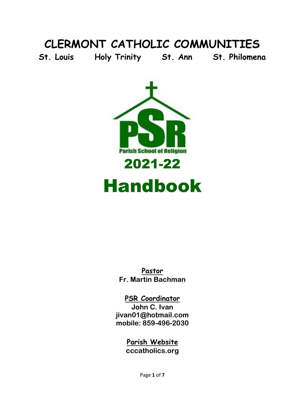#### **CLERMONT CATHOLIC COMMUNITIES**

**St. Louis Holy Trinity St. Ann St. Philomena**



# Handbook

**Pastor Fr. Martin Bachman**

**PSR Coordinator John C. Ivan jivan01@hotmail.com mobile: 859-496-2030**

#### **Parish Website cccatholics.org**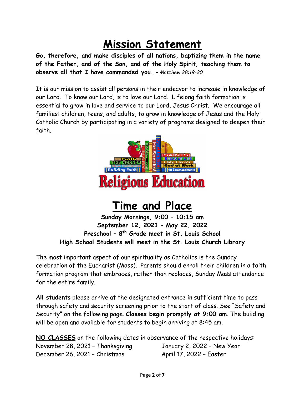### **Mission Statement**

**Go, therefore, and make disciples of all nations, baptizing them in the name of the Father, and of the Son, and of the Holy Spirit, teaching them to observe all that I have commanded you.** *– Matthew 28:19-20*

It is our mission to assist all persons in their endeavor to increase in knowledge of our Lord. To know our Lord, is to love our Lord. Lifelong faith formation is essential to grow in love and service to our Lord, Jesus Christ. We encourage all families: children, teens, and adults, to grow in knowledge of Jesus and the Holy Catholic Church by participating in a variety of programs designed to deepen their faith.



#### **Time and Place**

**Sunday Mornings, 9:00 – 10:15 am September 12, 2021 – May 22, 2022 Preschool – 8th Grade meet in St. Louis School High School Students will meet in the St. Louis Church Library**

The most important aspect of our spirituality as Catholics is the Sunday celebration of the Eucharist (Mass). Parents should enroll their children in a faith formation program that embraces, rather than replaces, Sunday Mass attendance for the entire family.

**All students** please arrive at the designated entrance in sufficient time to pass through safety and security screening prior to the start of class. See "Safety and Security" on the following page. **Classes begin promptly at 9:00 am**. The building will be open and available for students to begin arriving at 8:45 am.

**NO CLASSES** on the following dates in observance of the respective holidays: November 28, 2021 - Thanksgiving January 2, 2022 - New Year December 26, 2021 - Christmas April 17, 2022 - Easter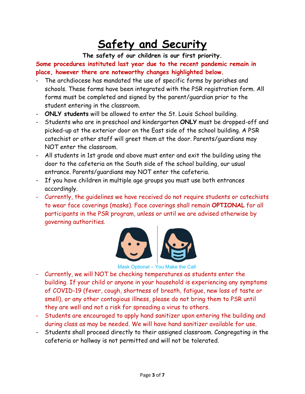## **Safety and Security**

**The safety of our children is our first priority.**

**Some procedures instituted last year due to the recent pandemic remain in place, however there are noteworthy changes highlighted below.**

- The archdiocese has mandated the use of specific forms by parishes and schools. These forms have been integrated with the PSR registration form. All forms must be completed and signed by the parent/guardian prior to the student entering in the classroom.
- **ONLY students** will be allowed to enter the St. Louis School building.
- Students who are in preschool and kindergarten **ONLY** must be dropped-off and picked-up at the exterior door on the East side of the school building. A PSR catechist or other staff will greet them at the door. Parents/guardians may NOT enter the classroom.
- All students in 1st grade and above must enter and exit the building using the door to the cafeteria on the South side of the school building, our usual entrance. Parents/guardians may NOT enter the cafeteria.
- If you have children in multiple age groups you must use both entrances accordingly.
- Currently, the guidelines we have received do not require students or catechists to wear face coverings (masks). Face coverings shall remain **OPTIONAL** for all participants in the PSR program, unless or until we are advised otherwise by governing authorities.



#### Mask Optional – You Make the Call

- Currently, we will NOT be checking temperatures as students enter the building. If your child or anyone in your household is experiencing any symptoms of COVID-19 (fever, cough, shortness of breath, fatigue, new loss of taste or smell), or any other contagious illness, please do not bring them to PSR until they are well and not a risk for spreading a virus to others.
- Students are encouraged to apply hand sanitizer upon entering the building and during class as may be needed. We will have hand sanitizer available for use.
- Students shall proceed directly to their assigned classroom. Congregating in the cafeteria or hallway is not permitted and will not be tolerated.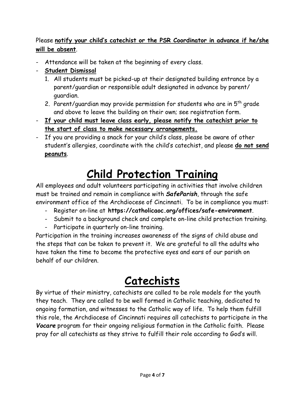#### Please **notify your child's catechist or the PSR Coordinator in advance if he/she will be absent**.

- Attendance will be taken at the beginning of every class.
- **Student Dismissal**
	- 1. All students must be picked-up at their designated building entrance by a parent/guardian or responsible adult designated in advance by parent/ guardian.
	- 2. Parent/guardian may provide permission for students who are in  $5<sup>th</sup>$  grade and above to leave the building on their own; see registration form.
- **If your child must leave class early, please notify the catechist prior to the start of class to make necessary arrangements.**
- If you are providing a snack for your child's class, please be aware of other student's allergies, coordinate with the child's catechist, and please **do not send peanuts**.

### **Child Protection Training**

All employees and adult volunteers participating in activities that involve children must be trained and remain in compliance with *SafeParish*, through the safe environment office of the Archdiocese of Cincinnati. To be in compliance you must:

- Register on-line at **https://catholicaoc.org/offices/safe-environment**.
- Submit to a background check and complete on-line child protection training.
- Participate in quarterly on-line training.

Participation in the training increases awareness of the signs of child abuse and the steps that can be taken to prevent it. We are grateful to all the adults who have taken the time to become the protective eyes and ears of our parish on behalf of our children.

### **Catechists**

By virtue of their ministry, catechists are called to be role models for the youth they teach. They are called to be well formed in Catholic teaching, dedicated to ongoing formation, and witnesses to the Catholic way of life. To help them fulfill this role, the Archdiocese of Cincinnati requires all catechists to participate in the *Vocare* program for their ongoing religious formation in the Catholic faith. Please pray for all catechists as they strive to fulfill their role according to God's will.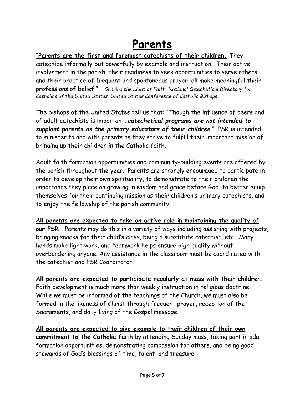### **Parents**

#### **"Parents are the first and foremost catechists of their children.** They

catechize informally but powerfully by example and instruction. Their active involvement in the parish, their readiness to seek opportunities to serve others, and their practice of frequent and spontaneous prayer, all make meaningful their professions of belief." – *Sharing the Light of Faith, National Catechetical Directory for Catholics of the United States, United States Conference of Catholic Bishops*

The bishops of the United States tell us that: "Though the influence of peers and of adult catechists is important, *catechetical programs are not intended to supplant parents as the primary educators of their children*." PSR is intended to minister to and with parents as they strive to fulfill their important mission of bringing up their children in the Catholic faith.

Adult faith formation opportunities and community-building events are offered by the parish throughout the year. Parents are strongly encouraged to participate in order to develop their own spirituality, to demonstrate to their children the importance they place on growing in wisdom and grace before God, to better equip themselves for their continuing mission as their children's primary catechists, and to enjoy the fellowship of the parish community.

**All parents are expected to take an active role in maintaining the quality of our PSR.** Parents may do this in a variety of ways including assisting with projects, bringing snacks for their child's class, being a substitute catechist, etc. Many hands make light work, and teamwork helps ensure high quality without overburdening anyone. Any assistance in the classroom must be coordinated with the catechist and PSR Coordinator.

**All parents are expected to participate regularly at mass with their children.** Faith development is much more than weekly instruction in religious doctrine. While we must be informed of the teachings of the Church, we must also be formed in the likeness of Christ through frequent prayer, reception of the Sacraments, and daily living of the Gospel message.

**All parents are expected to give example to their children of their own commitment to the Catholic faith** by attending Sunday mass, taking part in adult formation opportunities, demonstrating compassion for others, and being good stewards of God's blessings of time, talent, and treasure.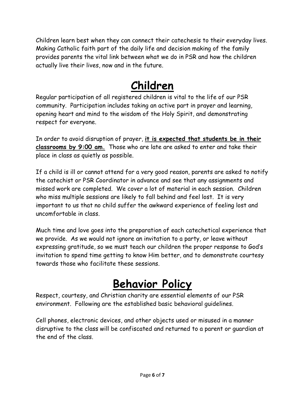Children learn best when they can connect their catechesis to their everyday lives. Making Catholic faith part of the daily life and decision making of the family provides parents the vital link between what we do in PSR and how the children actually live their lives, now and in the future.

#### **Children**

Regular participation of all registered children is vital to the life of our PSR community. Participation includes taking an active part in prayer and learning, opening heart and mind to the wisdom of the Holy Spirit, and demonstrating respect for everyone.

In order to avoid disruption of prayer, **it is expected that students be in their classrooms by 9:00 am.** Those who are late are asked to enter and take their place in class as quietly as possible.

If a child is ill or cannot attend for a very good reason, parents are asked to notify the catechist or PSR Coordinator in advance and see that any assignments and missed work are completed. We cover a lot of material in each session. Children who miss multiple sessions are likely to fall behind and feel lost. It is very important to us that no child suffer the awkward experience of feeling lost and uncomfortable in class.

Much time and love goes into the preparation of each catechetical experience that we provide. As we would not ignore an invitation to a party, or leave without expressing gratitude, so we must teach our children the proper response to God's invitation to spend time getting to know Him better, and to demonstrate courtesy towards those who facilitate these sessions.

#### **Behavior Policy**

Respect, courtesy, and Christian charity are essential elements of our PSR environment. Following are the established basic behavioral guidelines.

Cell phones, electronic devices, and other objects used or misused in a manner disruptive to the class will be confiscated and returned to a parent or guardian at the end of the class.